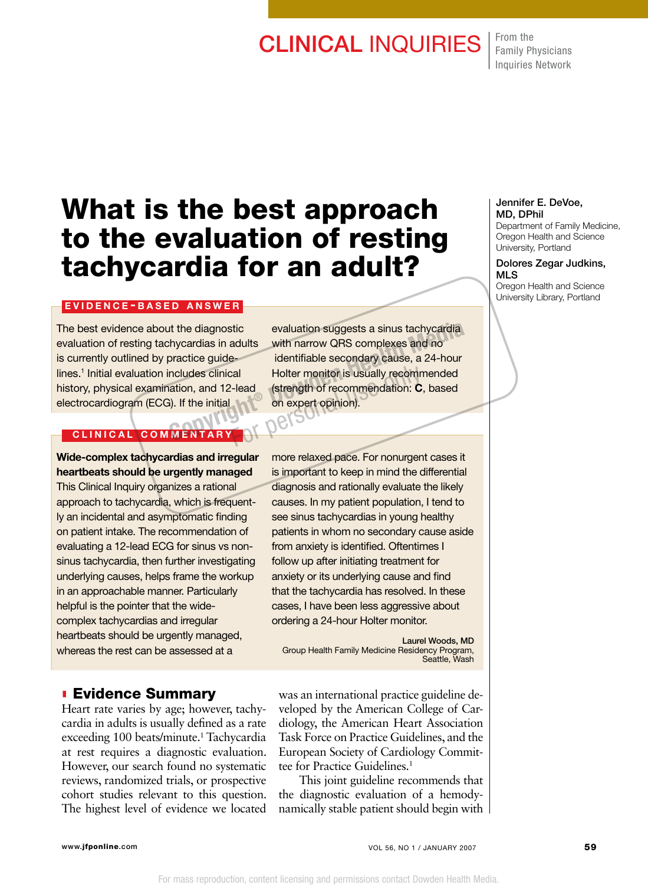## **CLINICAL INQUIRIES** From the

Family Physicians Inquiries Network

# What is the best approach to the evaluation of resting tachycardia for an adult?

## EVIDENCE-BASED ANSWER

The best evidence about the diagnostic evaluation of resting tachycardias in adults is currently outlined by practice guidelines.1 Initial evaluation includes clinical history, physical examination, and 12-lead electrocardiogram (ECG). If the initial

## CLINICAL COMMENTARY

## Wide-complex tachycardias and irregular heartbeats should be urgently managed

This Clinical Inquiry organizes a rational approach to tachycardia, which is frequently an incidental and asymptomatic finding on patient intake. The recommendation of evaluating a 12-lead ECG for sinus vs nonsinus tachycardia, then further investigating underlying causes, helps frame the workup in an approachable manner. Particularly helpful is the pointer that the widecomplex tachycardias and irregular heartbeats should be urgently managed, whereas the rest can be assessed at a

## **Evidence Summary**

Heart rate varies by age; however, tachycardia in adults is usually defined as a rate exceeding 100 beats/minute.<sup>1</sup> Tachycardia at rest requires a diagnostic evaluation. However, our search found no systematic reviews, randomized trials, or prospective cohort studies relevant to this question. The highest level of evidence we located

evaluation suggests a sinus tachycardia with narrow QRS complexes and no identifiable secondary cause, a 24-hour Holter monitor is usually recommended (strength of recommendation: C, based on expert opinion). It the diagnostic evaluation suggests a sinus tachycardia<br>
chycardias in adults with narrow QRS complexes and no<br>
practice guide identifiable secondary cause, a 24-hour<br>
includes clinical Holter monitor is usually recommen Example 12 Holter monitor is usually recommendation: Condition on expert opinion).

> more relaxed pace. For nonurgent cases it is important to keep in mind the differential diagnosis and rationally evaluate the likely causes. In my patient population, I tend to see sinus tachycardias in young healthy patients in whom no secondary cause aside from anxiety is identified. Oftentimes I follow up after initiating treatment for anxiety or its underlying cause and find that the tachycardia has resolved. In these cases, I have been less aggressive about ordering a 24-hour Holter monitor.

Laurel Woods, MD Group Health Family Medicine Residency Program, Seattle, Wash

was an international practice guideline developed by the American College of Cardiology, the American Heart Association Task Force on Practice Guidelines, and the European Society of Cardiology Committee for Practice Guidelines.<sup>1</sup>

This joint guideline recommends that the diagnostic evaluation of a hemodynamically stable patient should begin with

### Jennifer E. DeVoe, MD, DPhil

Department of Family Medicine, Oregon Health and Science University, Portland

#### Dolores Zegar Judkins, MLS

Oregon Health and Science University Library, Portland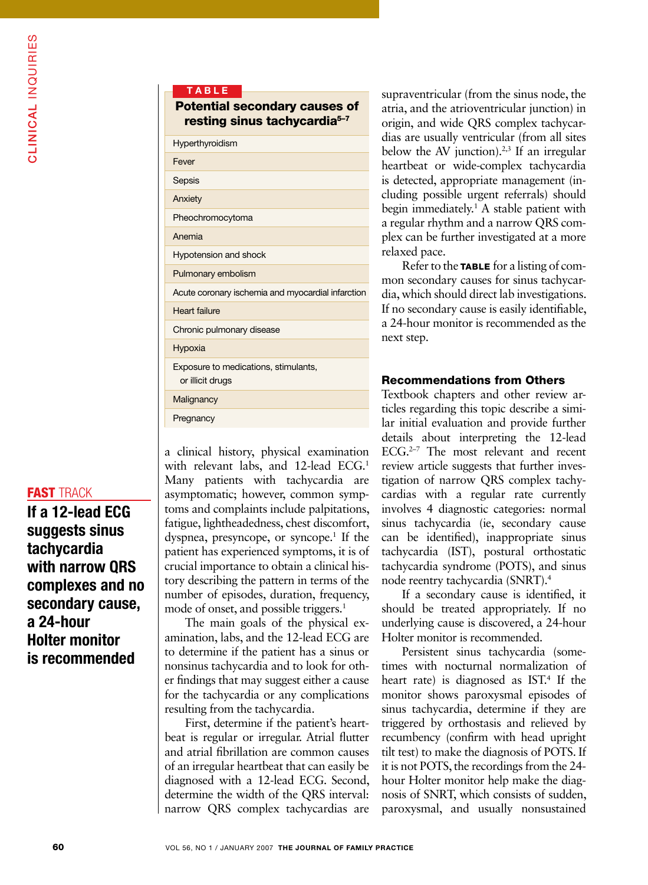If a 12-lead ECG suggests sinus tachycardia with narrow QRS complexes and no secondary cause, a 24-hour Holter monitor is recommended

| TABLE                                                                            |
|----------------------------------------------------------------------------------|
| <b>Potential secondary causes of</b><br>resting sinus tachycardia <sup>5-7</sup> |
| Hyperthyroidism                                                                  |
| Fever                                                                            |
| Sepsis                                                                           |
| Anxiety                                                                          |
| Pheochromocytoma                                                                 |
| Anemia                                                                           |
| <b>Hypotension and shock</b>                                                     |
| Pulmonary embolism                                                               |
| Acute coronary ischemia and myocardial infarction                                |
| Heart failure                                                                    |
| Chronic pulmonary disease                                                        |
| Hypoxia                                                                          |
| Exposure to medications, stimulants,<br>or illicit drugs                         |
| Malignancy                                                                       |
| Pregnancy                                                                        |

a clinical history, physical examination with relevant labs, and 12-lead ECG.<sup>1</sup> Many patients with tachycardia are asymptomatic; however, common symptoms and complaints include palpitations, fatigue, lightheadedness, chest discomfort, dyspnea, presyncope, or syncope.<sup>1</sup> If the patient has experienced symptoms, it is of crucial importance to obtain a clinical history describing the pattern in terms of the number of episodes, duration, frequency, mode of onset, and possible triggers.<sup>1</sup>

The main goals of the physical examination, labs, and the 12-lead ECG are to determine if the patient has a sinus or nonsinus tachycardia and to look for other findings that may suggest either a cause for the tachycardia or any complications resulting from the tachycardia.

First, determine if the patient's heartbeat is regular or irregular. Atrial flutter and atrial fibrillation are common causes of an irregular heartbeat that can easily be diagnosed with a 12-lead ECG. Second, determine the width of the QRS interval: narrow QRS complex tachycardias are

supraventricular (from the sinus node, the atria, and the atrioventricular junction) in origin, and wide QRS complex tachycardias are usually ventricular (from all sites below the AV junction).<sup>2,3</sup> If an irregular heartbeat or wide-complex tachycardia is detected, appropriate management (including possible urgent referrals) should begin immediately.<sup>1</sup> A stable patient with a regular rhythm and a narrow QRS complex can be further investigated at a more relaxed pace.

Refer to the **TABLE** for a listing of common secondary causes for sinus tachycardia, which should direct lab investigations. If no secondary cause is easily identifiable, a 24-hour monitor is recommended as the next step.

## Recommendations from Others

Textbook chapters and other review articles regarding this topic describe a similar initial evaluation and provide further details about interpreting the 12-lead  $ECG<sub>1</sub><sup>2–7</sup>$  The most relevant and recent review article suggests that further investigation of narrow QRS complex tachycardias with a regular rate currently involves 4 diagnostic categories: normal sinus tachycardia (ie, secondary cause can be identified), inappropriate sinus tachycardia (IST), postural orthostatic tachycardia syndrome (POTS), and sinus node reentry tachycardia (SNRT).4

If a secondary cause is identified, it should be treated appropriately. If no underlying cause is discovered, a 24-hour Holter monitor is recommended.

Persistent sinus tachycardia (sometimes with nocturnal normalization of heart rate) is diagnosed as IST.<sup>4</sup> If the monitor shows paroxysmal episodes of sinus tachycardia, determine if they are triggered by orthostasis and relieved by recumbency (confirm with head upright tilt test) to make the diagnosis of POTS. If it is not POTS, the recordings from the 24 hour Holter monitor help make the diagnosis of SNRT, which consists of sudden, paroxysmal, and usually nonsustained